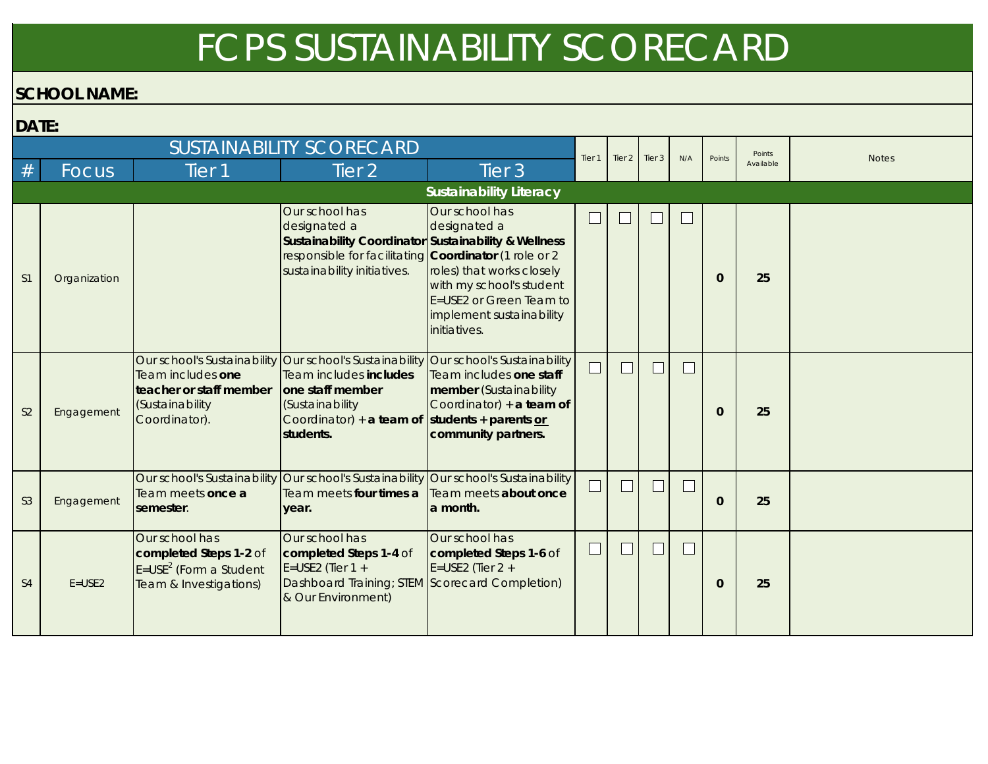## FCPS SUSTAINABILITY SCORECARD

## **SCHOOL NAME:**

| DATE: |  |
|-------|--|
|-------|--|

| <i>D</i> NIL.  |              |                                                                                                  |                                                                                                                                                                                       |                                                                                                                                                                |                   |        |        |                          |              |           |              |
|----------------|--------------|--------------------------------------------------------------------------------------------------|---------------------------------------------------------------------------------------------------------------------------------------------------------------------------------------|----------------------------------------------------------------------------------------------------------------------------------------------------------------|-------------------|--------|--------|--------------------------|--------------|-----------|--------------|
|                |              |                                                                                                  | <b>SUSTAINABILITY SCORECARD</b>                                                                                                                                                       |                                                                                                                                                                | Tier <sub>1</sub> | Tier 2 | Tier 3 | N/A                      | Points       | Points    | <b>Notes</b> |
| #              | Focus        | Tier <sub>1</sub>                                                                                | Tier 2'                                                                                                                                                                               | Tier <sub>3</sub>                                                                                                                                              |                   |        |        |                          |              | Available |              |
|                |              |                                                                                                  |                                                                                                                                                                                       | <b>Sustainability Literacy</b>                                                                                                                                 |                   |        |        |                          |              |           |              |
| S <sub>1</sub> | Organization |                                                                                                  | Our school has<br>designated a<br>Sustainability Coordinator Sustainability & Wellness<br>responsible for facilitating <b>Coordinator</b> (1 role or 2<br>sustainability initiatives. | Our school has<br>designated a<br>roles) that works closely<br>with my school's student<br>E=USE2 or Green Team to<br>implement sustainability<br>initiatives. |                   |        |        |                          | $\mathbf{0}$ | 25        |              |
| S <sub>2</sub> | Engagement   | Team includes one<br>teacher or staff member<br>(Sustainability<br>Coordinator).                 | Our school's Sustainability Our school's Sustainability<br>Team includes includes<br>one staff member<br>(Sustainability<br>Coordinator) + a team of<br>students.                     | Our school's Sustainability<br>Team includes one staff<br>member (Sustainability<br>Coordinator) $+$ a team of<br>students + parents or<br>community partners. |                   |        | $\Box$ | $\overline{\phantom{a}}$ | $\mathbf{0}$ | 25        |              |
| S <sub>3</sub> | Engagement   | Team meets once a<br>semester.                                                                   | Our school's Sustainability Our school's Sustainability<br>Team meets four times a<br>year.                                                                                           | Our school's Sustainability<br>Team meets about once<br>la month.                                                                                              |                   |        |        | $\Box$                   | $\mathbf{0}$ | 25        |              |
| S <sub>4</sub> | $E = USE2$   | Our school has<br>completed Steps 1-2 of<br>$E = USE2$ (Form a Student<br>Team & Investigations) | Our school has<br>completed Steps 1-4 of<br>E=USE2 (Tier $1 +$<br>Dashboard Training; STEM Scorecard Completion)<br>& Our Environment)                                                | Our school has<br>completed Steps 1-6 of<br>E=USE2 (Tier $2 +$                                                                                                 |                   |        |        | $\Box$                   | $\mathbf{0}$ | 25        |              |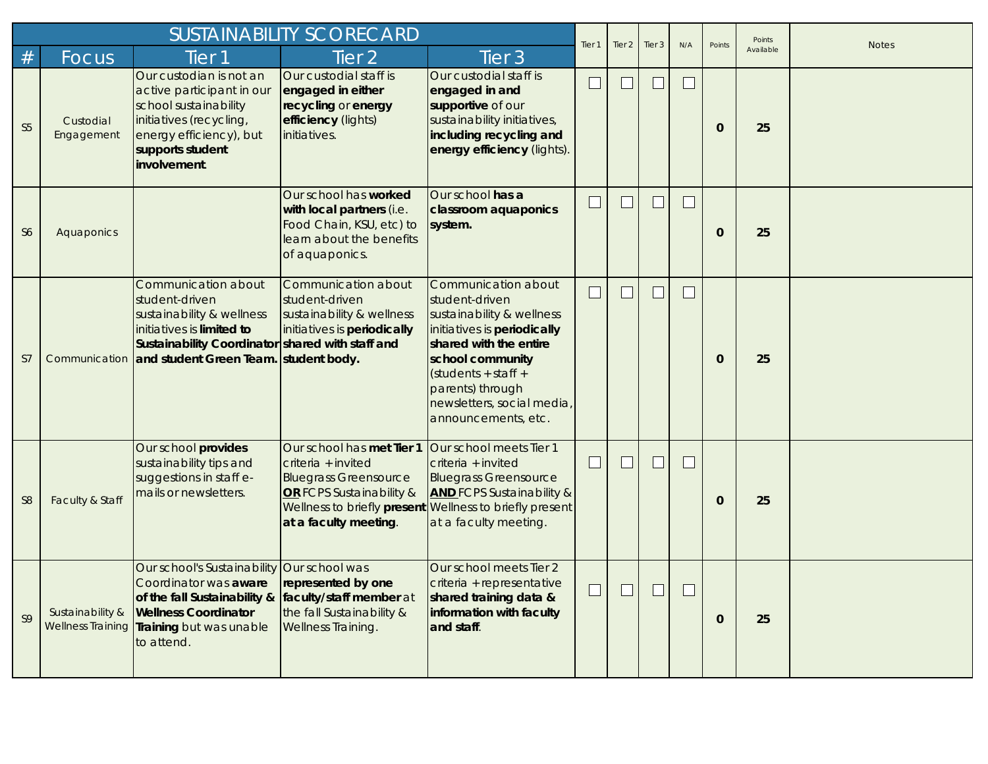|                |                                              |                                                                                                                                                                                                            | <b>SUSTAINABILITY SCORECARD</b>                                                                                                                                     |                                                                                                                                                                                                                                                   | Tier <sub>1</sub> | Tier 2 | Tier 3        | N/A    | Points       | Points    | <b>Notes</b> |
|----------------|----------------------------------------------|------------------------------------------------------------------------------------------------------------------------------------------------------------------------------------------------------------|---------------------------------------------------------------------------------------------------------------------------------------------------------------------|---------------------------------------------------------------------------------------------------------------------------------------------------------------------------------------------------------------------------------------------------|-------------------|--------|---------------|--------|--------------|-----------|--------------|
| #              | Focus                                        | Tier <sub>1</sub>                                                                                                                                                                                          | Tier <sub>2</sub>                                                                                                                                                   | Tier <sub>3</sub>                                                                                                                                                                                                                                 |                   |        |               |        |              | Available |              |
| S <sub>5</sub> | Custodial<br>Engagement                      | Our custodian is not an<br>active participant in our<br>school sustainability<br>initiatives (recycling,<br>energy efficiency), but<br>supports student<br>involvement.                                    | Our custodial staff is<br>engaged in either<br>recycling or energy<br>efficiency (lights)<br>initiatives.                                                           | Our custodial staff is<br>engaged in and<br>supportive of our<br>sustainability initiatives,<br>including recycling and<br>energy efficiency (lights).                                                                                            | $\sqcup$          |        | $\mathcal{L}$ | $\Box$ | $\Omega$     | 25        |              |
| S <sub>6</sub> | Aquaponics                                   |                                                                                                                                                                                                            | Our school has worked<br>with local partners (i.e.<br>Food Chain, KSU, etc) to<br>learn about the benefits<br>of aquaponics.                                        | Our school has a<br>classroom aquaponics<br>system.                                                                                                                                                                                               |                   |        |               | $\Box$ | $\Omega$     | 25        |              |
| S7             |                                              | Communication about<br>student-driven<br>sustainability & wellness<br>initiatives is limited to<br>Sustainability Coordinator shared with staff and<br>Communication and student Green Team. student body. | Communication about<br>student-driven<br>sustainability & wellness<br>initiatives is periodically                                                                   | Communication about<br>student-driven<br>sustainability & wellness<br>initiatives is periodically<br>shared with the entire<br>school community<br>$(students + staff +$<br>parents) through<br>newsletters, social media,<br>announcements, etc. | ⊔                 |        | $\mathcal{L}$ | $\Box$ | $\mathbf{0}$ | 25        |              |
| S <sub>8</sub> | Faculty & Staff                              | Our school provides<br>sustainability tips and<br>suggestions in staff e-<br>mails or newsletters.                                                                                                         | Our school has met Tier 1<br>criteria + invited<br><b>Bluegrass Greensource</b><br>OR FCPS Sustainability &<br>Wellness to briefly present<br>at a faculty meeting. | Our school meets Tier 1<br>criteria + invited<br><b>Bluegrass Greensource</b><br><b>AND FCPS Sustainability &amp;</b><br>Wellness to briefly present<br>at a faculty meeting                                                                      |                   |        |               | $\Box$ | $\mathbf{0}$ | 25        |              |
| S <sub>9</sub> | Sustainability &<br><b>Wellness Training</b> | Our school's Sustainability Our school was<br>Coordinator was aware<br>of the fall Sustainability &<br><b>Wellness Coordinator</b><br>Training but was unable<br>to attend.                                | represented by one<br>faculty/staff member at<br>the fall Sustainability &<br>Wellness Training.                                                                    | Our school meets Tier 2<br>criteria + representative<br>shared training data &<br>information with faculty<br>and staff.                                                                                                                          | ⊔                 |        |               | $\Box$ | $\Omega$     | 25        |              |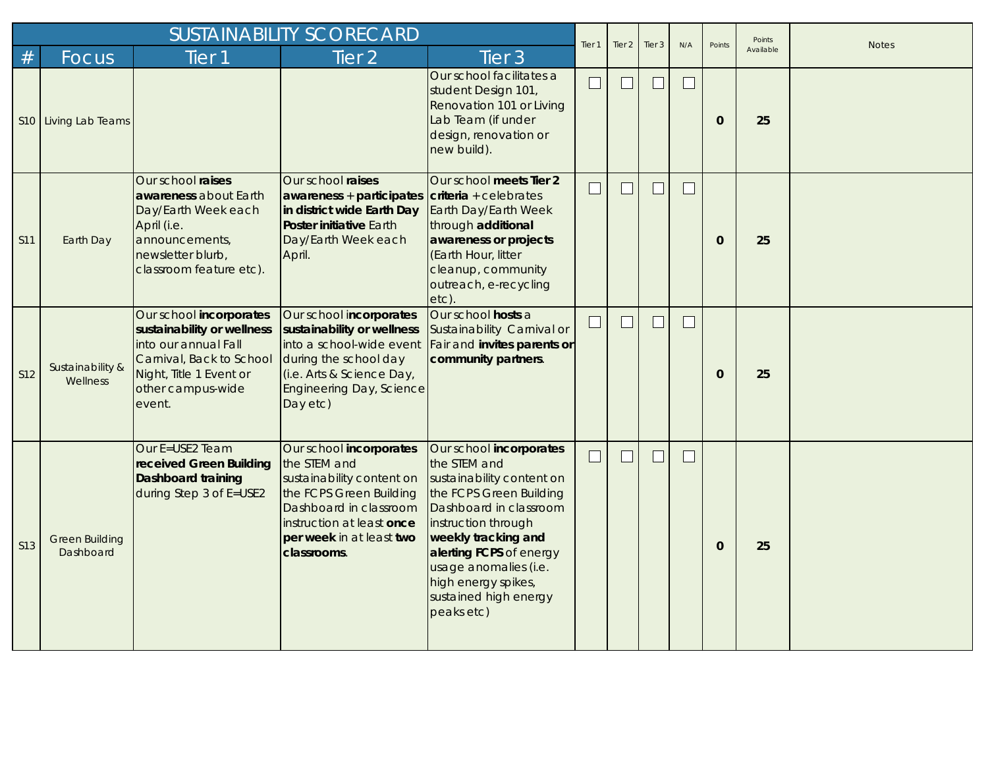|                 | <b>SUSTAINABILITY SCORECARD</b>    |                                                                                                                                                                     |                                                                                                                                                                                                   |                                                                                                                                                                                                                                                                                           |                   |                   | Tier 3 | N/A    | Points       | Points    | <b>Notes</b> |
|-----------------|------------------------------------|---------------------------------------------------------------------------------------------------------------------------------------------------------------------|---------------------------------------------------------------------------------------------------------------------------------------------------------------------------------------------------|-------------------------------------------------------------------------------------------------------------------------------------------------------------------------------------------------------------------------------------------------------------------------------------------|-------------------|-------------------|--------|--------|--------------|-----------|--------------|
| #               | <b>Focus</b>                       | Tier <sub>1</sub>                                                                                                                                                   | Tier <sub>2</sub>                                                                                                                                                                                 | Tier <sub>3</sub>                                                                                                                                                                                                                                                                         | Tier <sub>1</sub> | Tier <sub>2</sub> |        |        |              | Available |              |
|                 | S10 Living Lab Teams               |                                                                                                                                                                     |                                                                                                                                                                                                   | Our school facilitates a<br>student Design 101,<br>Renovation 101 or Living<br>Lab Team (if under<br>design, renovation or<br>new build).                                                                                                                                                 |                   |                   |        | $\Box$ | $\Omega$     | 25        |              |
| S11             | Earth Day                          | Our school raises<br>awareness about Earth<br>Day/Earth Week each<br>April (i.e.<br>announcements,<br>newsletter blurb,<br>classroom feature etc).                  | Our school raises<br>$a$ wareness + participates<br>in district wide Earth Day<br><b>Poster initiative Earth</b><br>Day/Earth Week each<br>April.                                                 | Our school meets Tier 2<br>$criteria + celebrates$<br>Earth Day/Earth Week<br>through additional<br>awareness or projects<br>(Earth Hour, litter<br>cleanup, community<br>outreach, e-recycling<br>etc).                                                                                  | $\Box$            |                   | $\Box$ | $\Box$ | $\Omega$     | 25        |              |
| S12             | Sustainability &<br>Wellness       | Our school incorporates<br>sustainability or wellness<br>into our annual Fall<br>Carnival, Back to School<br>Night, Title 1 Event or<br>other campus-wide<br>event. | Our school incorporates<br>sustainability or wellness<br>into a school-wide event<br>during the school day<br>(i.e. Arts & Science Day,<br><b>Engineering Day, Science</b><br>Day etc)            | Our school hosts a<br>Sustainability Carnival or<br>Fair and invites parents or<br>community partners.                                                                                                                                                                                    | $\sqcup$          | $\Box$            | $\Box$ | $\Box$ | $\mathbf{0}$ | 25        |              |
| S <sub>13</sub> | <b>Green Building</b><br>Dashboard | Our E=USE2 Team<br>received Green Building<br><b>Dashboard training</b><br>during Step 3 of E=USE2                                                                  | Our school incorporates<br>the STEM and<br>sustainability content on<br>the FCPS Green Building<br>Dashboard in classroom<br>instruction at least once<br>per week in at least two<br>classrooms. | Our school incorporates<br>the STEM and<br>sustainability content on<br>the FCPS Green Building<br>Dashboard in classroom<br>instruction through<br>weekly tracking and<br>alerting FCPS of energy<br>usage anomalies (i.e.<br>high energy spikes,<br>sustained high energy<br>peaks etc) |                   |                   | H      | $\Box$ | $\mathbf{0}$ | 25        |              |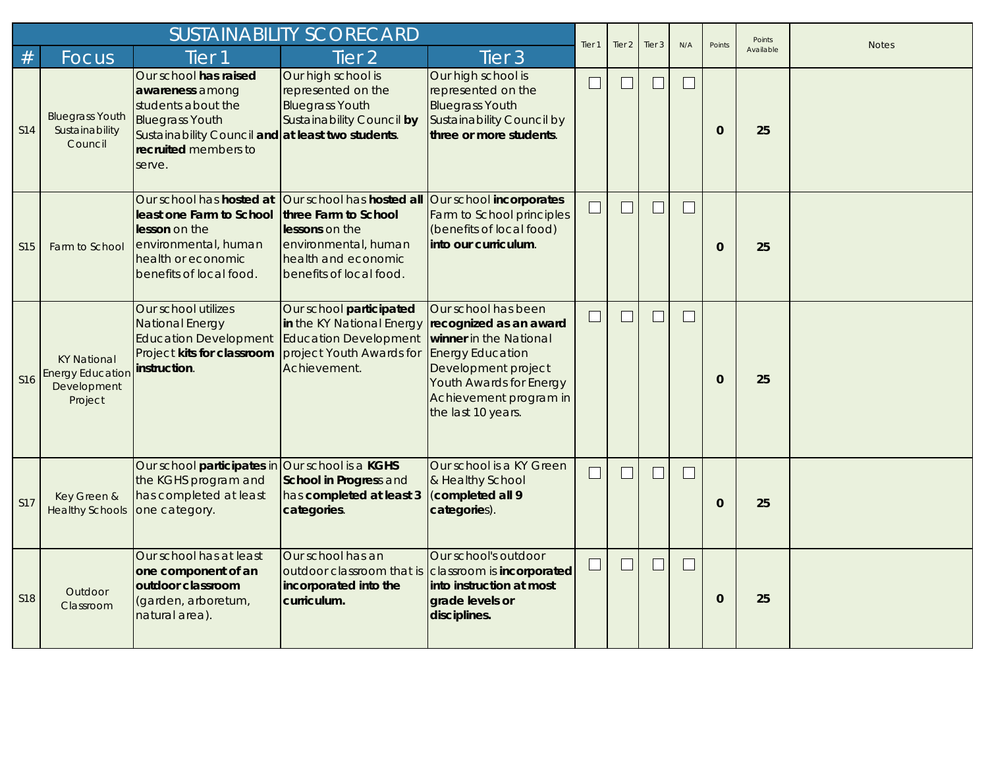|                 |                                                                         |                                                                                                                                                                                 | <b>SUSTAINABILITY SCORECARD</b>                                                                                                                                                                |                                                                                                                                                                                                      | Tier <sub>1</sub> | Tier <sub>2</sub>        | Tier 3 | N/A    | Points       | Points    | <b>Notes</b> |
|-----------------|-------------------------------------------------------------------------|---------------------------------------------------------------------------------------------------------------------------------------------------------------------------------|------------------------------------------------------------------------------------------------------------------------------------------------------------------------------------------------|------------------------------------------------------------------------------------------------------------------------------------------------------------------------------------------------------|-------------------|--------------------------|--------|--------|--------------|-----------|--------------|
| #               | Focus                                                                   | Tier <sub>1</sub>                                                                                                                                                               | Tier <sub>2</sub>                                                                                                                                                                              | Tier <sub>3</sub>                                                                                                                                                                                    |                   |                          |        |        |              | Available |              |
| S14             | <b>Bluegrass Youth</b><br>Sustainability<br>Council                     | Our school has raised<br>awareness among<br>students about the<br><b>Bluegrass Youth</b><br>Sustainability Council and at least two students.<br>recruited members to<br>serve. | Our high school is<br>represented on the<br><b>Bluegrass Youth</b><br><b>Sustainability Council by</b>                                                                                         | Our high school is<br>represented on the<br><b>Bluegrass Youth</b><br>Sustainability Council by<br>three or more students.                                                                           | $\Box$            |                          | $\Box$ | $\Box$ | $\mathbf{0}$ | 25        |              |
| <b>S15</b>      | Farm to School                                                          | least one Farm to School<br>lesson on the<br>environmental, human<br>health or economic<br>benefits of local food.                                                              | Our school has hosted at Our school has hosted all Our school incorporates<br>three Farm to School<br>lessons on the<br>environmental, human<br>health and economic<br>benefits of local food. | Farm to School principles<br>(benefits of local food)<br>into our curriculum.                                                                                                                        | $\Box$            | $\Box$                   | $\Box$ | $\Box$ | $\Omega$     | 25        |              |
| S <sub>16</sub> | <b>KY National</b><br><b>Energy Education</b><br>Development<br>Project | Our school utilizes<br><b>National Energy</b><br>Education Development Education Development<br>Project kits for classroom<br>instruction.                                      | Our school participated<br>in the KY National Energy<br>project Youth Awards for<br>Achievement.                                                                                               | Our school has been<br>recognized as an award<br>winner in the National<br><b>Energy Education</b><br>Development project<br>Youth Awards for Energy<br>Achievement program in<br>the last 10 years. | $\Box$            |                          |        | $\Box$ | $\Omega$     | 25        |              |
| S17             | Key Green &<br><b>Healthy Schools</b>                                   | Our school participates in Our school is a KGHS<br>the KGHS program and<br>has completed at least<br>one category.                                                              | School in Progress and<br>has completed at least 3<br>categories.                                                                                                                              | Our school is a KY Green<br>& Healthy School<br>(completed all 9<br>categories).                                                                                                                     | $\sqcup$          | $\overline{\phantom{a}}$ | $\Box$ | $\Box$ | $\mathbf{0}$ | 25        |              |
| <b>S18</b>      | Outdoor<br>Classroom                                                    | Our school has at least<br>one component of an<br>outdoor classroom<br>(garden, arboretum,<br>natural area).                                                                    | Our school has an<br>outdoor classroom that is<br>incorporated into the<br>curriculum.                                                                                                         | Our school's outdoor<br>classroom is incorporated<br>into instruction at most<br>grade levels or<br>disciplines.                                                                                     | $\sqcup$          | $\Box$                   | $\Box$ | $\Box$ | $\mathbf 0$  | 25        |              |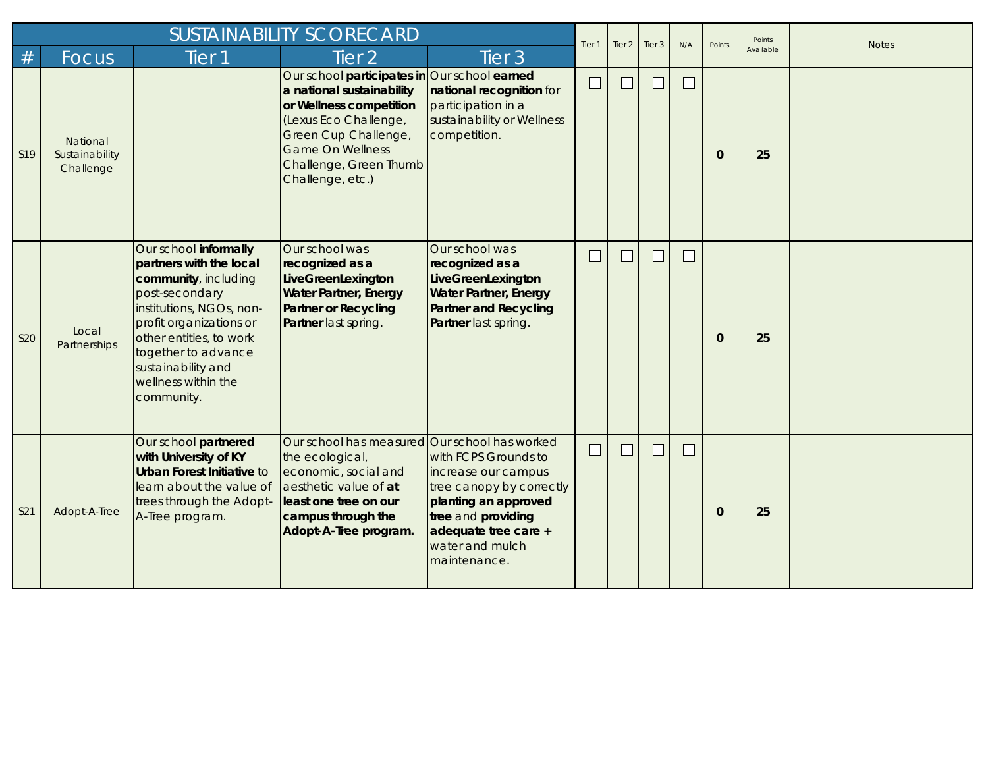|            | <b>SUSTAINABILITY SCORECARD</b>         |                                                                                                                                                                                                                                                                |                                                                                                                                                                                                                                |                                                                                                                                                                                                           |                   | Tier 2 | Tier 3 | N/A    | Points       | Points    | <b>Notes</b> |
|------------|-----------------------------------------|----------------------------------------------------------------------------------------------------------------------------------------------------------------------------------------------------------------------------------------------------------------|--------------------------------------------------------------------------------------------------------------------------------------------------------------------------------------------------------------------------------|-----------------------------------------------------------------------------------------------------------------------------------------------------------------------------------------------------------|-------------------|--------|--------|--------|--------------|-----------|--------------|
| $\#$       | Focus                                   | Tier 1                                                                                                                                                                                                                                                         | Tier <sub>2</sub>                                                                                                                                                                                                              | Tier <sub>3</sub>                                                                                                                                                                                         | Tier <sub>1</sub> |        |        |        |              | Available |              |
| S19        | National<br>Sustainability<br>Challenge |                                                                                                                                                                                                                                                                | Our school participates in Our school earned<br>a national sustainability<br>or Wellness competition<br>(Lexus Eco Challenge,<br>Green Cup Challenge,<br><b>Game On Wellness</b><br>Challenge, Green Thumb<br>Challenge, etc.) | national recognition for<br>participation in a<br>sustainability or Wellness<br>competition.                                                                                                              | $\Box$            |        | $\Box$ | $\Box$ | $\mathbf{0}$ | 25        |              |
| <b>S20</b> | Local<br>Partnerships                   | Our school informally<br>partners with the local<br>community, including<br>post-secondary<br>institutions, NGOs, non-<br>profit organizations or<br>other entities, to work<br>together to advance<br>sustainability and<br>wellness within the<br>community. | Our school was<br>recognized as a<br>LiveGreenLexington<br><b>Water Partner, Energy</b><br><b>Partner or Recycling</b><br>Partner last spring.                                                                                 | Our school was<br>recognized as a<br>LiveGreenLexington<br><b>Water Partner, Energy</b><br><b>Partner and Recycling</b><br>Partner last spring.                                                           |                   |        |        | $\Box$ | $\mathbf 0$  | 25        |              |
| S21        | Adopt-A-Tree                            | Our school partnered<br>with University of KY<br><b>Urban Forest Initiative to</b><br>learn about the value of<br>trees through the Adopt-<br>A-Tree program.                                                                                                  | Our school has measured<br>the ecological,<br>economic, social and<br>aesthetic value of at<br>least one tree on our<br>campus through the<br>Adopt-A-Tree program.                                                            | Our school has worked<br>with FCPS Grounds to<br>increase our campus<br>tree canopy by correctly<br>planting an approved<br>tree and providing<br>adequate tree care +<br>water and mulch<br>maintenance. | $\sqcup$          |        | $\Box$ | $\Box$ | $\mathbf 0$  | 25        |              |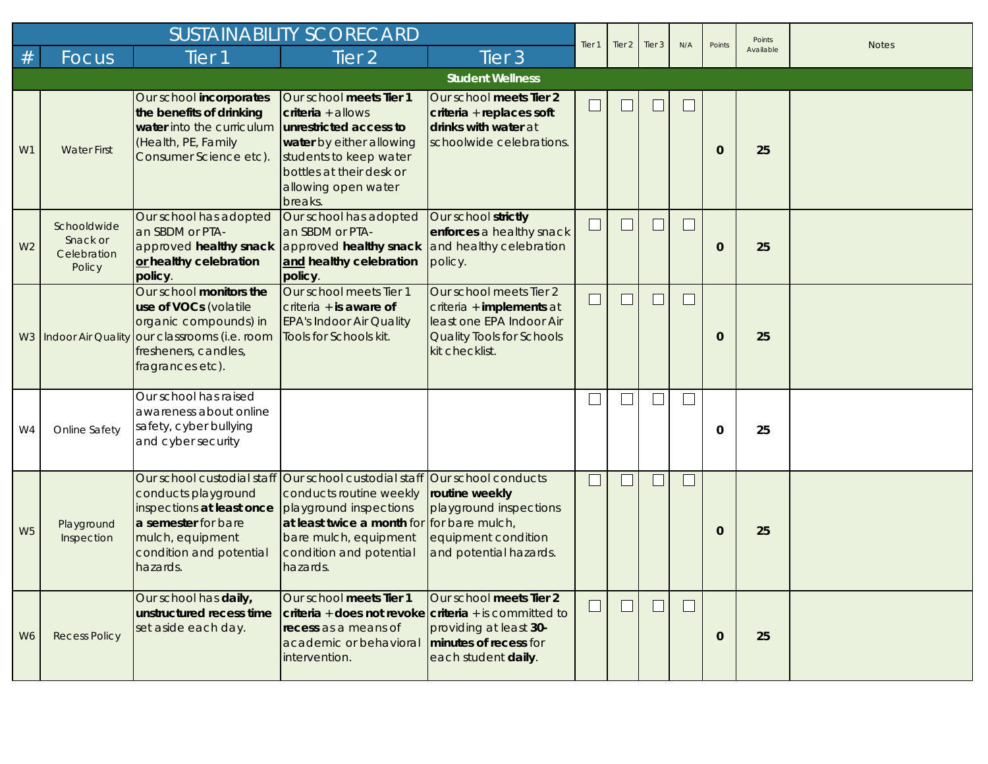|                |                                                  |                                                                                                                                                                          | <b>SUSTAINABILITY SCORECARD</b>                                                                                                                                                                                                              |                                                                                                                                | Tier <sub>1</sub> | Tier 2 | Tier 3 | N/A    | Points       | Points    | <b>Notes</b> |
|----------------|--------------------------------------------------|--------------------------------------------------------------------------------------------------------------------------------------------------------------------------|----------------------------------------------------------------------------------------------------------------------------------------------------------------------------------------------------------------------------------------------|--------------------------------------------------------------------------------------------------------------------------------|-------------------|--------|--------|--------|--------------|-----------|--------------|
| #              | Focus                                            | Tier 1                                                                                                                                                                   | Tier <sub>2</sub>                                                                                                                                                                                                                            | Tier <sub>3</sub>                                                                                                              |                   |        |        |        |              | Available |              |
|                |                                                  |                                                                                                                                                                          |                                                                                                                                                                                                                                              | <b>Student Wellness</b>                                                                                                        |                   |        |        |        |              |           |              |
| W1             | <b>Water First</b>                               | Our school incorporates<br>the benefits of drinking<br>water into the curriculum<br>(Health, PE, Family<br>Consumer Science etc).                                        | Our school meets Tier 1<br>$criterion + allows$<br>unrestricted access to<br>water by either allowing<br>students to keep water<br>bottles at their desk or<br>allowing open water<br>breaks.                                                | Our school meets Tier 2<br>criteria + replaces soft<br>drinks with water at<br>schoolwide celebrations.                        |                   |        | $\Box$ | $\Box$ | $\mathbf 0$  | 25        |              |
| W <sub>2</sub> | Schooldwide<br>Snack or<br>Celebration<br>Policy | Our school has adopted<br>an SBDM or PTA-<br>or healthy celebration<br>policy.                                                                                           | Our school has adopted<br>an SBDM or PTA-<br>approved healthy snack approved healthy snack and healthy celebration<br>and healthy celebration<br>policy.                                                                                     | Our school strictly<br>enforces a healthy snack<br>policy.                                                                     |                   |        | $\Box$ | $\Box$ | $\mathbf 0$  | 25        |              |
|                |                                                  | Our school monitors the<br>use of VOCs (volatile<br>organic compounds) in<br>W3 Indoor Air Quality our classrooms (i.e. room<br>fresheners, candles,<br>fragrances etc). | Our school meets Tier 1<br>criteria $+$ is aware of<br><b>EPA's Indoor Air Quality</b><br>Tools for Schools kit.                                                                                                                             | Our school meets Tier 2<br>criteria + implements at<br>least one EPA Indoor Air<br>Quality Tools for Schools<br>kit checklist. |                   |        |        | $\Box$ | $\mathbf 0$  | 25        |              |
| W4             | Online Safety                                    | Our school has raised<br>awareness about online<br>safety, cyber bullying<br>and cyber security                                                                          |                                                                                                                                                                                                                                              |                                                                                                                                |                   |        |        | $\Box$ | $\mathbf 0$  | 25        |              |
| W <sub>5</sub> | Playground<br>Inspection                         | conducts playground<br>inspections at least once<br>a semester for bare<br>mulch, equipment<br>condition and potential<br>hazards.                                       | Our school custodial staff Our school custodial staff Our school conducts<br>conducts routine weekly<br>playground inspections<br>at least twice a month for for bare mulch,<br>bare mulch, equipment<br>condition and potential<br>hazards. | routine weekly<br>playground inspections<br>equipment condition<br>and potential hazards.                                      |                   |        | $\Box$ | $\Box$ | $\mathbf 0$  | 25        |              |
| W <sub>6</sub> | <b>Recess Policy</b>                             | Our school has daily,<br>unstructured recess time<br>set aside each day.                                                                                                 | Our school meets Tier 1<br>$criteria + does not revoke/criteria + is committed to$<br>recess as a means of<br>academic or behavioral<br>intervention.                                                                                        | Our school meets Tier 2<br>providing at least 30-<br>minutes of recess for<br>each student daily.                              |                   |        | $\Box$ | $\Box$ | $\mathbf{0}$ | 25        |              |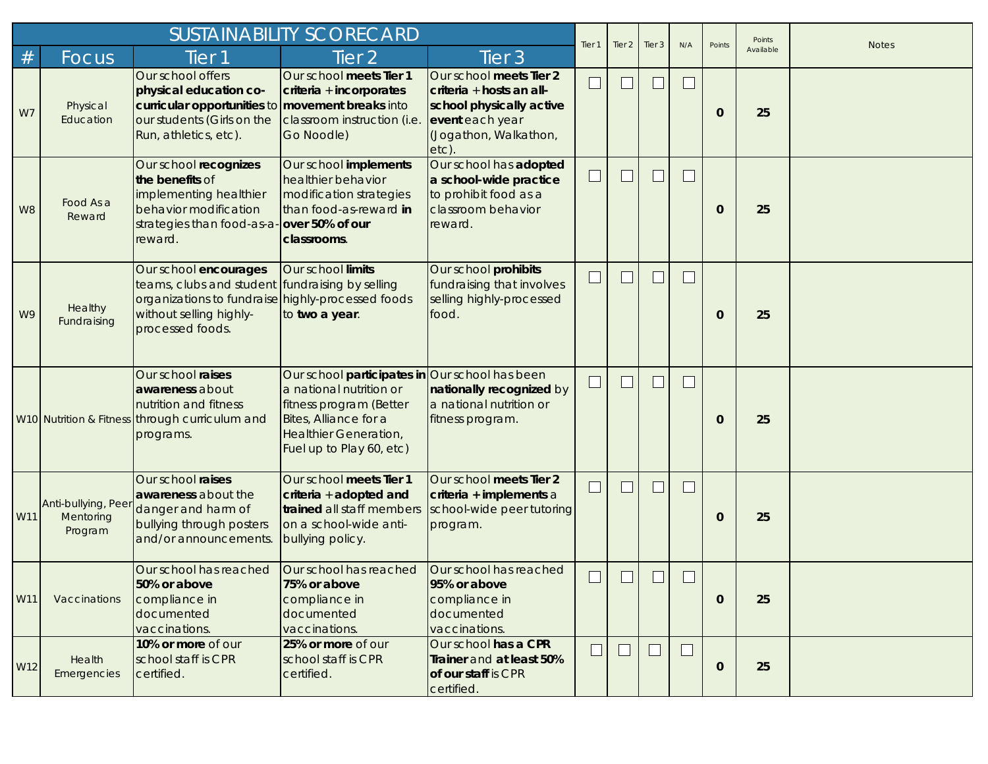|     |                                             |                                                                                                                                                                              | Tier <sub>1</sub>                                                                                                                                                                  | Tier <sub>2</sub>                                                                                                                   | Tier 3                   | N/A    | Points                      | Points         | <b>Notes</b> |           |  |
|-----|---------------------------------------------|------------------------------------------------------------------------------------------------------------------------------------------------------------------------------|------------------------------------------------------------------------------------------------------------------------------------------------------------------------------------|-------------------------------------------------------------------------------------------------------------------------------------|--------------------------|--------|-----------------------------|----------------|--------------|-----------|--|
| #   | Focus                                       | Tier 1                                                                                                                                                                       | Tier <sub>2</sub>                                                                                                                                                                  | Tier <sub>3</sub>                                                                                                                   |                          |        |                             |                |              | Available |  |
| W7  | Physical<br>Education                       | Our school offers<br>physical education co-<br>curricular opportunities to movement breaks into<br>our students (Girls on the<br>Run, athletics, etc).                       | Our school meets Tier 1<br>criteria + incorporates<br>classroom instruction (i.e.<br>Go Noodle)                                                                                    | Our school meets Tier 2<br>criteria + hosts an all-<br>school physically active<br>event each year<br>(Jogathon, Walkathon,<br>etc) |                          |        |                             | L              | 0            | 25        |  |
| W8  | Food As a<br>Reward                         | Our school recognizes<br>the benefits of<br>implementing healthier<br>behavior modification<br>strategies than food-as-a-over 50% of our<br>reward.                          | Our school implements<br>healthier behavior<br>modification strategies<br>than food-as-reward in<br>classrooms.                                                                    | Our school has adopted<br>a school-wide practice<br>to prohibit food as a<br>classroom behavior<br>reward.                          | $\overline{\phantom{0}}$ |        |                             | $\Box$         | $\mathbf{0}$ | 25        |  |
| W9  | Healthy<br>Fundraising                      | Our school encourages<br>teams, clubs and student fundraising by selling<br>organizations to fundraise highly-processed foods<br>without selling highly-<br>processed foods. | Our school limits<br>to two a year.                                                                                                                                                | Our school prohibits<br>fundraising that involves<br>selling highly-processed<br>food.                                              | ⊔                        |        | $\mathcal{L}$               | $\Box$         | $\mathbf{0}$ | 25        |  |
|     |                                             | Our school raises<br>awareness about<br>nutrition and fitness<br>W10 Nutrition & Fitness through curriculum and<br>programs.                                                 | Our school participates in Our school has been<br>a national nutrition or<br>fitness program (Better<br>Bites, Alliance for a<br>Healthier Generation,<br>Fuel up to Play 60, etc) | nationally recognized by<br>a national nutrition or<br>fitness program.                                                             | $\sqcup$                 |        | $\mathcal{L}_{\mathcal{A}}$ | $\mathbb{R}^n$ | $\mathbf{0}$ | 25        |  |
| W11 | Anti-bullying, Peer<br>Mentoring<br>Program | Our school raises<br>awareness about the<br>danger and harm of<br>bullying through posters<br>and/or announcements.                                                          | Our school meets Tier 1<br>criteria + adopted and<br>trained all staff members<br>on a school-wide anti-<br>bullying policy.                                                       | Our school meets Tier 2<br>criteria + implements a<br>school-wide peer tutoring<br>program.                                         |                          |        | $\mathcal{L}$               | $\Box$         | 0            | 25        |  |
| W11 | Vaccinations                                | Our school has reached<br>50% or above<br>compliance in<br>documented<br>vaccinations.                                                                                       | Our school has reached<br>75% or above<br>compliance in<br>documented<br>vaccinations.                                                                                             | Our school has reached<br>95% or above<br>compliance in<br>documented<br>vaccinations.                                              |                          |        |                             | L.             | $\mathbf{0}$ | 25        |  |
| W12 | Health<br>Emergencies                       | 10% or more of our<br>school staff is CPR<br>certified.                                                                                                                      | 25% or more of our<br>school staff is CPR<br>certified.                                                                                                                            | Our school has a CPR<br>Trainer and at least 50%<br>of our staff is CPR<br>certified.                                               | $\Box$                   | $\Box$ | $\Box$                      | $\Box$         | $\bf{0}$     | 25        |  |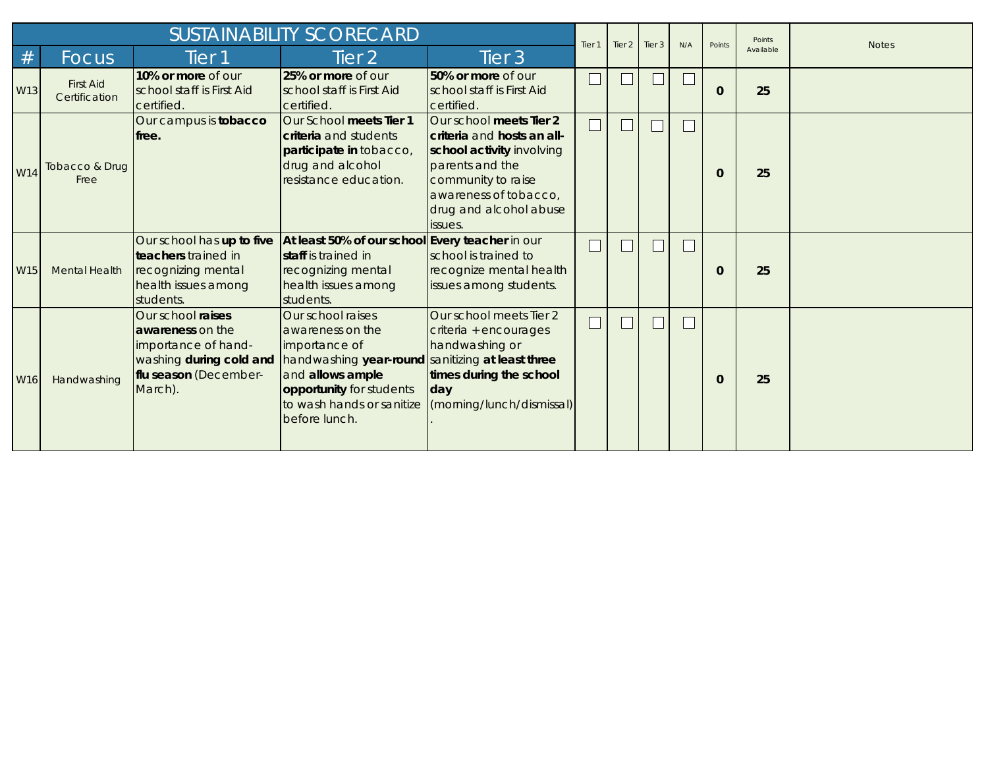|                 |                                   | <b>SUSTAINABILITY SCORECARD</b>                                                                            |                                                                                                                                                                                                        |                                                                                                                                                                                           |                   |        |                       |                          | Points      | Points    | <b>Notes</b> |
|-----------------|-----------------------------------|------------------------------------------------------------------------------------------------------------|--------------------------------------------------------------------------------------------------------------------------------------------------------------------------------------------------------|-------------------------------------------------------------------------------------------------------------------------------------------------------------------------------------------|-------------------|--------|-----------------------|--------------------------|-------------|-----------|--------------|
| #               | <b>Focus</b>                      | Tier 1                                                                                                     | Tier $2$                                                                                                                                                                                               | Tier 3                                                                                                                                                                                    | Tier <sub>1</sub> | Tier 2 | $\blacksquare$ Tier 3 | N/A                      |             | Available |              |
| W13             | <b>First Aid</b><br>Certification | 10% or more of our<br>school staff is First Aid<br>certified.                                              | 25% or more of our<br>school staff is First Aid<br>certified.                                                                                                                                          | 50% or more of our<br>school staff is First Aid<br>certified.                                                                                                                             | $\mathbf{L}$      |        | $\Box$                | $\overline{\phantom{a}}$ | $\mathbf 0$ | 25        |              |
| W14             | Tobacco & Drug<br>Free            | Our campus is tobacco<br>lfree.                                                                            | Our School meets Tier 1<br><b>criteria</b> and students<br>participate in tobacco,<br>drug and alcohol<br>resistance education.                                                                        | Our school meets Tier 2<br>criteria and hosts an all-<br>school activity involving<br>parents and the<br>community to raise<br>awareness of tobacco,<br>drug and alcohol abuse<br>issues. | $\Box$            |        | $\Box$                | $\mathbf{L}$             | $\Omega$    | 25        |              |
| W <sub>15</sub> | <b>Mental Health</b>              | Our school has up to five<br>teachers trained in<br>recognizing mental<br>health issues among<br>students. | At least 50% of our school Every teacher in our<br><b>Istaff</b> is trained in<br>recognizing mental<br>health issues among<br>students.                                                               | school is trained to<br>recognize mental health<br>issues among students.                                                                                                                 |                   |        |                       | $\mathbf{L}$             | $\Omega$    | 25        |              |
| W <sub>16</sub> | Handwashing                       | Our school raises<br>awareness on the<br>importance of hand-<br>flu season (December-<br>March).           | Our school raises<br>awareness on the<br>importance of<br>washing during cold and handwashing year-round<br>and allows ample<br>opportunity for students<br>to wash hands or sanitize<br>before lunch. | Our school meets Tier 2<br>criteria + encourages<br>handwashing or<br>sanitizing at least three<br>times during the school<br>day<br>(morning/lunch/dismissal)                            | $\Box$            |        | $\Box$                | $\Box$                   | $\Omega$    | 25        |              |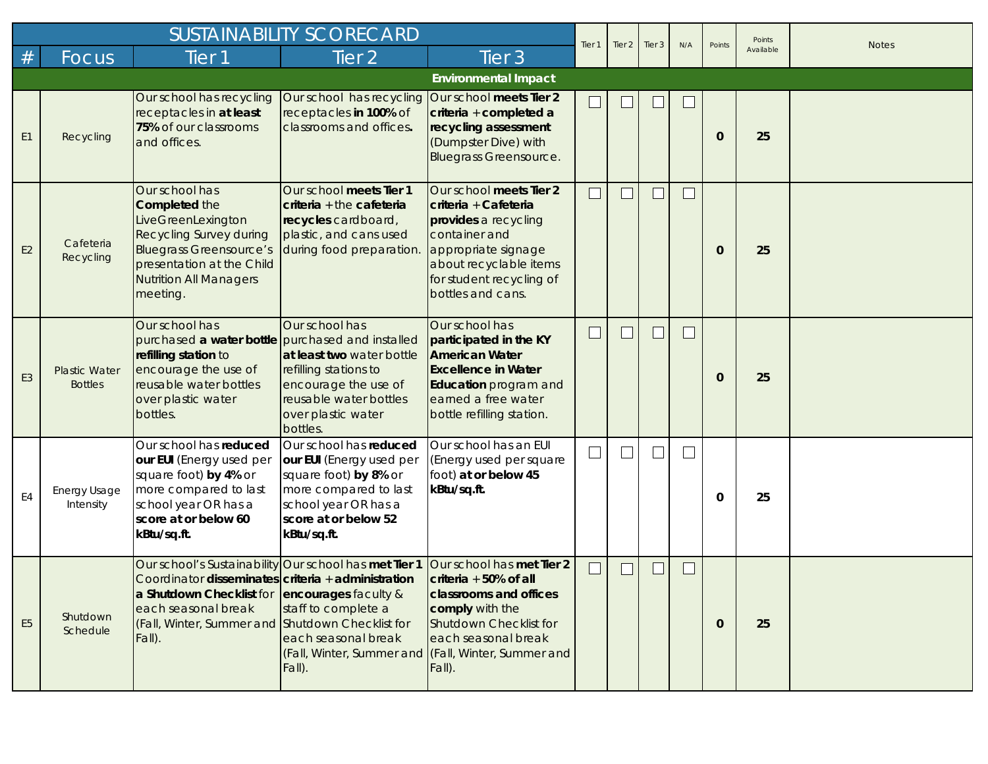|                |                                        |                                                                                                                                                                                                            | <b>SUSTAINABILITY SCORECARD</b>                                                                                                                                     |                                                                                                                                                                                               | Tier <sub>1</sub> | Tier <sub>2</sub> | Tier <sub>3</sub> | N/A                         | Points       | Points    | <b>Notes</b> |
|----------------|----------------------------------------|------------------------------------------------------------------------------------------------------------------------------------------------------------------------------------------------------------|---------------------------------------------------------------------------------------------------------------------------------------------------------------------|-----------------------------------------------------------------------------------------------------------------------------------------------------------------------------------------------|-------------------|-------------------|-------------------|-----------------------------|--------------|-----------|--------------|
| $\#$           | Focus                                  | Tier <sub>1</sub>                                                                                                                                                                                          | Tier <sub>2</sub>                                                                                                                                                   | Tier <sub>3</sub>                                                                                                                                                                             |                   |                   |                   |                             |              | Available |              |
|                |                                        |                                                                                                                                                                                                            |                                                                                                                                                                     | <b>Environmental Impact</b>                                                                                                                                                                   |                   |                   |                   |                             |              |           |              |
| E <sub>1</sub> | Recycling                              | Our school has recycling<br>receptacles in at least<br>75% of our classrooms<br>and offices.                                                                                                               | Our school has recycling Our school meets Tier 2<br>receptacles in 100% of<br>classrooms and offices.                                                               | criteria + completed a<br>recycling assessment<br>(Dumpster Dive) with<br><b>Bluegrass Greensource.</b>                                                                                       | └                 |                   |                   | $\mathbf{L}$                | $\mathbf{0}$ | 25        |              |
| E <sub>2</sub> | Cafeteria<br>Recycling                 | Our school has<br><b>Completed the</b><br>LiveGreenLexington<br><b>Recycling Survey during</b><br><b>Bluegrass Greensource's</b><br>presentation at the Child<br><b>Nutrition All Managers</b><br>meeting. | Our school meets Tier 1<br>criteria + the cafeteria<br>recycles cardboard,<br>plastic, and cans used<br>during food preparation.                                    | Our school meets Tier 2<br>criteria + Cafeteria<br>provides a recycling<br>container and<br>appropriate signage<br>about recyclable items<br>for student recycling of<br>bottles and cans.    | $\Box$            |                   |                   | $\Box$                      | $\mathbf 0$  | 25        |              |
| E <sub>3</sub> | <b>Plastic Water</b><br><b>Bottles</b> | Our school has<br>purchased a water bottle purchased and installed<br>refilling station to<br>encourage the use of<br>reusable water bottles<br>over plastic water<br>bottles.                             | Our school has<br>at least two water bottle<br>refilling stations to<br>encourage the use of<br>reusable water bottles<br>over plastic water<br>bottles.            | Our school has<br>participated in the KY<br><b>American Water</b><br><b>Excellence in Water</b><br>Education program and<br>earned a free water<br>bottle refilling station.                  | $\mathbf{L}$      |                   |                   |                             | $\mathbf 0$  | 25        |              |
| E4             | Energy Usage<br>Intensity              | Our school has reduced<br>our EUI (Energy used per<br>square foot) by 4% or<br>more compared to last<br>school year OR has a<br>score at or below 60<br>kBtu/sq.ft.                                        | Our school has reduced<br>our EUI (Energy used per<br>square foot) by 8% or<br>more compared to last<br>school year OR has a<br>score at or below 52<br>kBtu/sq.ft. | Our school has an EUI<br>(Energy used per square<br>foot) at or below 45<br>kBtu/sq.ft.                                                                                                       | $\Box$            |                   |                   | $\mathcal{L}_{\mathcal{A}}$ | 0            | 25        |              |
| E <sub>5</sub> | Shutdown<br>Schedule                   | Coordinator disseminates criteria $+$ administration<br>a Shutdown Checklist for<br>each seasonal break<br>(Fall, Winter, Summer and Shutdown Checklist for<br>Fall).                                      | Our school's Sustainability Our school has met Tier 1 Our school has met Tier 2<br>encourages faculty &<br>staff to complete a<br>each seasonal break<br>Fall).     | criteria $+50\%$ of all<br>classrooms and offices<br>comply with the<br><b>Shutdown Checklist for</b><br>each seasonal break<br>(Fall, Winter, Summer and (Fall, Winter, Summer and<br>Fall). |                   |                   |                   |                             | $\mathbf{0}$ | 25        |              |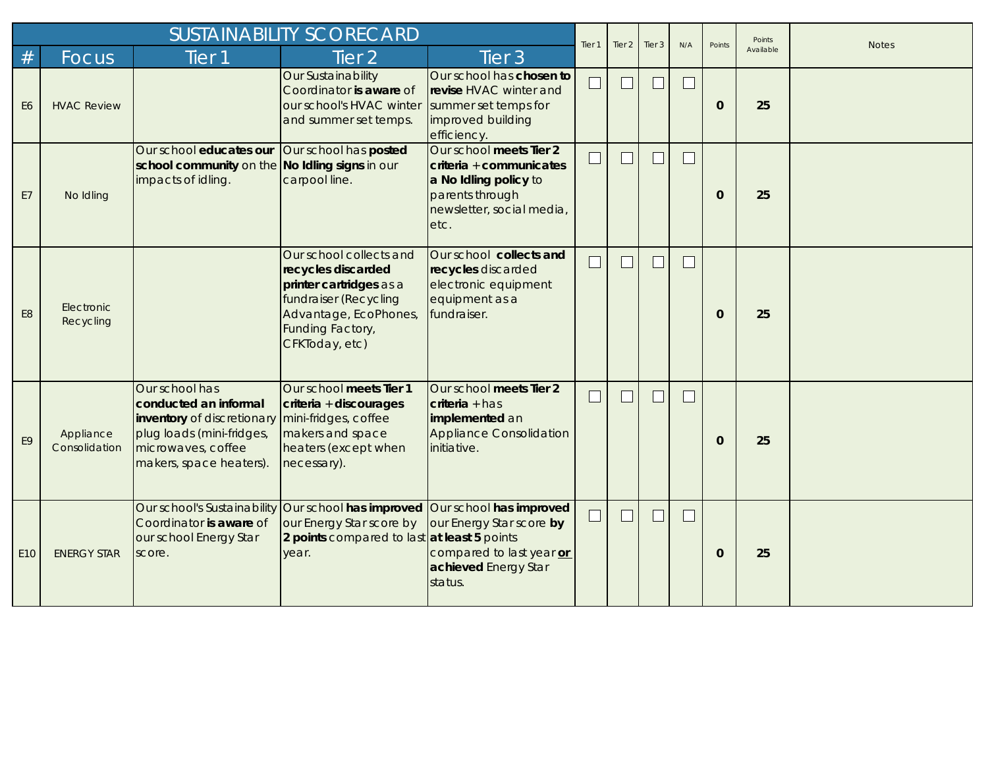|                 |                            |                                                                                                                                                     | Tier <sub>1</sub>                                                                                                                                                       | Tier <sub>2</sub>                                                                                                                   | Tier 3 | N/A | Points | Points | <b>Notes</b> |           |  |
|-----------------|----------------------------|-----------------------------------------------------------------------------------------------------------------------------------------------------|-------------------------------------------------------------------------------------------------------------------------------------------------------------------------|-------------------------------------------------------------------------------------------------------------------------------------|--------|-----|--------|--------|--------------|-----------|--|
| #               | Focus                      | Tier <sub>1</sub>                                                                                                                                   | Tier <sub>2</sub>                                                                                                                                                       | Tier <sub>3</sub>                                                                                                                   |        |     |        |        |              | Available |  |
| E6              | <b>HVAC Review</b>         |                                                                                                                                                     | Our Sustainability<br>Coordinator is aware of<br>our school's HVAC winter<br>and summer set temps.                                                                      | Our school has chosen to<br>revise HVAC winter and<br>summer set temps for<br>improved building<br>efficiency.                      | $\Box$ | ப   | $\Box$ | $\Box$ | $\mathbf{0}$ | 25        |  |
| E7              | No Idling                  | Our school educates our<br>school community on the No Idling signs in our<br>impacts of idling.                                                     | Our school has posted<br>carpool line.                                                                                                                                  | Our school meets Tier 2<br>criteria + communicates<br>a No Idling policy to<br>parents through<br>newsletter, social media,<br>etc. | Ξ      |     | $\Box$ | L      | $\mathbf{0}$ | 25        |  |
| E <sub>8</sub>  | Electronic<br>Recycling    |                                                                                                                                                     | Our school collects and<br>recycles discarded<br>printer cartridges as a<br>fundraiser (Recycling<br>Advantage, EcoPhones,<br><b>Funding Factory,</b><br>CFKToday, etc) | Our school collects and<br>recycles discarded<br>electronic equipment<br>equipment as a<br>fundraiser.                              | $\Box$ |     | ┓      | $\Box$ | $\Omega$     | 25        |  |
| E <sub>9</sub>  | Appliance<br>Consolidation | Our school has<br>conducted an informal<br>inventory of discretionary<br>plug loads (mini-fridges,<br>microwaves, coffee<br>makers, space heaters). | Our school meets Tier 1<br>criteria + discourages<br>mini-fridges, coffee<br>makers and space<br>heaters (except when<br>necessary).                                    | Our school meets Tier 2<br>$criterion + has$<br>implemented an<br><b>Appliance Consolidation</b><br>initiative.                     | $\Box$ |     | $\Box$ | $\Box$ | $\Omega$     | 25        |  |
| E <sub>10</sub> | <b>ENERGY STAR</b>         | Our school's Sustainability<br>Coordinator is aware of<br>our school Energy Star<br>score.                                                          | Our school has improved Our school has improved<br>our Energy Star score by<br>2 points compared to last at least 5 points<br>year.                                     | our Energy Star score by<br>compared to last year or<br>achieved Energy Star<br>status.                                             | $\Box$ |     | ┓      | L      | $\mathbf{0}$ | 25        |  |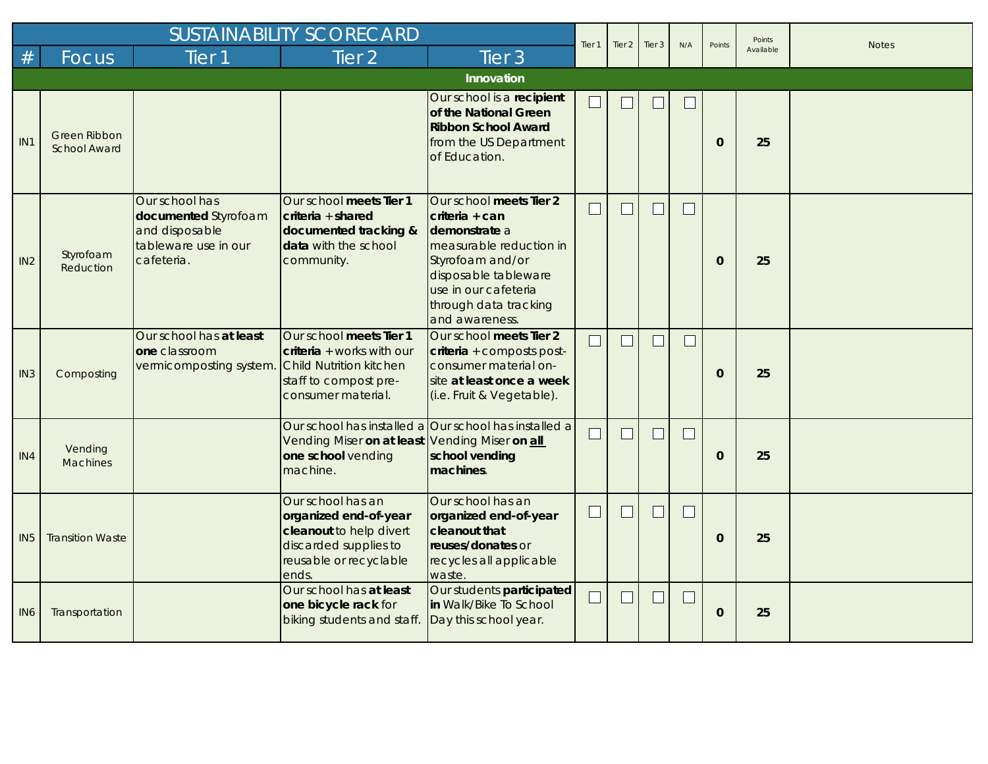| <b>SUSTAINABILITY SCORECARD</b> |                                            |                                                                                                |                                                                                                                                   |                                                                                                                                                                                                      |        | Tier <sub>2</sub> | Tier <sub>3</sub>           | N/A    | Points       | Points    | <b>Notes</b> |
|---------------------------------|--------------------------------------------|------------------------------------------------------------------------------------------------|-----------------------------------------------------------------------------------------------------------------------------------|------------------------------------------------------------------------------------------------------------------------------------------------------------------------------------------------------|--------|-------------------|-----------------------------|--------|--------------|-----------|--------------|
| #                               | <b>Focus</b>                               | Tier <sub>1</sub>                                                                              | Tier <sub>2</sub>                                                                                                                 | Tier <sub>3</sub>                                                                                                                                                                                    | Tier 1 |                   |                             |        |              | Available |              |
|                                 |                                            |                                                                                                |                                                                                                                                   | Innovation                                                                                                                                                                                           |        |                   |                             |        |              |           |              |
| IN <sub>1</sub>                 | <b>Green Ribbon</b><br><b>School Award</b> |                                                                                                |                                                                                                                                   | Our school is a recipient<br>of the National Green<br><b>Ribbon School Award</b><br>from the US Department<br>of Education.                                                                          | $\Box$ |                   |                             | L      | $\mathbf{0}$ | 25        |              |
| IN2                             | Styrofoam<br>Reduction                     | Our school has<br>documented Styrofoam<br>and disposable<br>tableware use in our<br>cafeteria. | Our school meets Tier 1<br>$criteria + shared$<br>documented tracking &<br>data with the school<br>community.                     | Our school meets Tier 2<br>criteria + can<br>demonstrate a<br>measurable reduction in<br>Styrofoam and/or<br>disposable tableware<br>use in our cafeteria<br>through data tracking<br>and awareness. | L      |                   | $\overline{\phantom{a}}$    |        | $\mathbf{0}$ | 25        |              |
| IN3                             | Composting                                 | Our school has at least<br>one classroom<br>vermicomposting system.                            | Our school meets Tier 1<br>$criteria + works with our$<br>Child Nutrition kitchen<br>staff to compost pre-<br>consumer material.  | Our school meets Tier 2<br>criteria + composts post-<br>consumer material on-<br>site at least once a week<br>(i.e. Fruit & Vegetable).                                                              | $\Box$ |                   | $\mathbf{L}$                | $\Box$ | $\mathbf{0}$ | 25        |              |
| IN4                             | Vending<br><b>Machines</b>                 |                                                                                                | Vending Miser on at least Vending Miser on all<br>one school vending<br>machine.                                                  | Our school has installed a Our school has installed a<br>school vending<br>machines.                                                                                                                 | $\Box$ |                   | $\mathcal{L}_{\mathcal{A}}$ | $\Box$ | $\mathbf{0}$ | 25        |              |
| IN <sub>5</sub>                 | <b>Transition Waste</b>                    |                                                                                                | Our school has an<br>organized end-of-year<br>cleanout to help divert<br>discarded supplies to<br>reusable or recyclable<br>ends. | Our school has an<br>organized end-of-year<br><b>Cleanout that</b><br>reuses/donates or<br>recycles all applicable<br>waste.                                                                         | $\Box$ |                   | $\mathbf{I}$                | $\Box$ | $\mathbf{0}$ | 25        |              |
| IN <sub>6</sub>                 | Transportation                             |                                                                                                | Our school has at least<br>one bicycle rack for<br>biking students and staff.                                                     | Our students participated<br>in Walk/Bike To School<br>Day this school year.                                                                                                                         | $\Box$ |                   | $\Box$                      | └      | $\mathbf{0}$ | 25        |              |